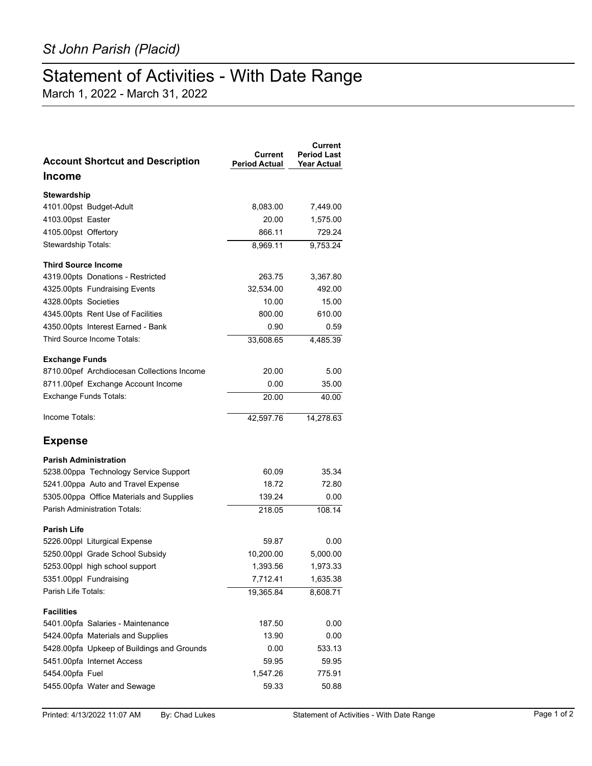## Statement of Activities - With Date Range

March 1, 2022 - March 31, 2022

| <b>Account Shortcut and Description</b>    | Current<br><b>Period Actual</b> | Current<br><b>Period Last</b><br><b>Year Actual</b> |
|--------------------------------------------|---------------------------------|-----------------------------------------------------|
| <b>Income</b>                              |                                 |                                                     |
| Stewardship                                |                                 |                                                     |
| 4101.00pst Budget-Adult                    | 8,083.00                        | 7,449.00                                            |
| 4103.00pst Easter                          | 20.00                           | 1,575.00                                            |
| 4105.00pst Offertory                       | 866.11                          | 729.24                                              |
| Stewardship Totals:                        | 8,969.11                        | 9,753.24                                            |
| <b>Third Source Income</b>                 |                                 |                                                     |
| 4319.00pts Donations - Restricted          | 263.75                          | 3,367.80                                            |
| 4325.00pts Fundraising Events              | 32,534.00                       | 492.00                                              |
| 4328.00pts Societies                       | 10.00                           | 15.00                                               |
| 4345.00pts Rent Use of Facilities          | 800.00                          | 610.00                                              |
| 4350.00pts Interest Earned - Bank          | 0.90                            | 0.59                                                |
| Third Source Income Totals:                | 33,608.65                       | 4,485.39                                            |
| <b>Exchange Funds</b>                      |                                 |                                                     |
| 8710.00pef Archdiocesan Collections Income | 20.00                           | 5.00                                                |
| 8711.00pef Exchange Account Income         | 0.00                            | 35.00                                               |
| <b>Exchange Funds Totals:</b>              | 20.00                           | 40.00                                               |
| Income Totals:                             | 42,597.76                       | 14,278.63                                           |
| <b>Expense</b>                             |                                 |                                                     |
| <b>Parish Administration</b>               |                                 |                                                     |
| 5238.00ppa Technology Service Support      | 60.09                           | 35.34                                               |
| 5241.00ppa Auto and Travel Expense         | 18.72                           | 72.80                                               |
| 5305.00ppa Office Materials and Supplies   | 139.24                          | 0.00                                                |
| <b>Parish Administration Totals:</b>       | 218.05                          | 108.14                                              |
| <b>Parish Life</b>                         |                                 |                                                     |
| 5226.00ppl Liturgical Expense              | 59.87                           | 0.00                                                |
| 5250.00ppl Grade School Subsidy            | 10,200.00                       | 5,000.00                                            |
| 5253.00ppl high school support             | 1,393.56                        | 1,973.33                                            |
| 5351.00ppl Fundraising                     | 7,712.41                        | 1,635.38                                            |
| Parish Life Totals:                        | 19,365.84                       | 8,608.71                                            |
| <b>Facilities</b>                          |                                 |                                                     |
| 5401.00pfa Salaries - Maintenance          | 187.50                          | 0.00                                                |
| 5424.00pfa Materials and Supplies          | 13.90                           | 0.00                                                |
| 5428.00pfa Upkeep of Buildings and Grounds | 0.00                            | 533.13                                              |
| 5451.00pfa Internet Access                 | 59.95                           | 59.95                                               |
| 5454.00pfa Fuel                            | 1,547.26                        | 775.91                                              |
| 5455.00pfa Water and Sewage                | 59.33                           | 50.88                                               |